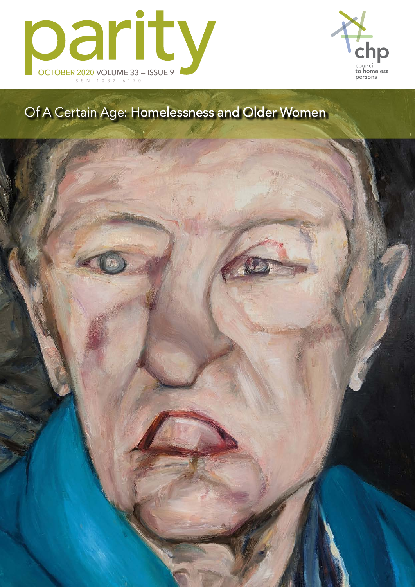



## Of A Certain Age: Homelessness and Older Women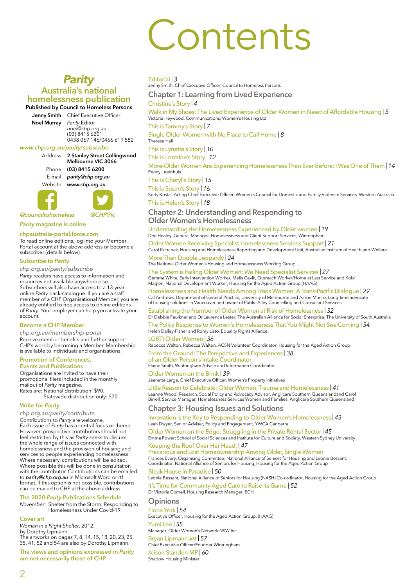## Contents

## *Parity* **Australia's national homelessness publication**

**Published by Council to Homeless Persons**

**Jenny Smith** Chief Executive Officer

**Noel Murray** *Parity* Editor *noel@chp.org.au* (03) 8415 6201 0438 067 146/0466 619 582

## *www.chp.org.au/parity/subscribe*

Address **2 Stanley Street Collingwood Melbourne VIC 3066** Phone **(03) 8415 6200** E-mail *parity@chp.org.au* Website *www.chp.org.au*



*@counciltohomeless @CHPVic*

*Parity* **magazine is online**

#### **chpaustralia-portal.force.com**

To read online editions, log into your Member Portal account at the above address or become a subscriber (details below).

#### **Subscribe to** *Parity*

*chp.org.au/parity/subscribe*

*Parity* readers have access to information and resources not available anywhere else. Subscribers will also have access to a 13-year online *Parity* back-catalogue. If you are a staff member of a CHP Organisational Member, you are already entitled to free access to online editions of *Parity*. Your employer can help you activate your account.

#### **Become a CHP Member**

*chp.org.au/membership-portal* Receive member benefits and further support CHP's work by becoming a Member. Membership is available to individuals and organisations.

#### **Promotion of Conferences, Events and Publications**

Organisations are invited to have their promotional fliers included in the monthly mailout of *Parity* magazine. Rates are: National distribution: \$90. Statewide distribution only: \$70

#### **Write for** *Parity*

*chp.org.au/parity/contribute* Contributions to *Parity* are welcome. Each issue of *Parity* has a central focus or theme. However, prospective contributors should not feel restricted by this as *Parity* seeks to discuss the whole range of issues connected with homelessness and the provision of housing and services to people experiencing homelessness. Where necessary, contributions will be edited. Where possible this will be done in consultation with the contributor. Contributions can be emailed to *parity@chp.org.au* in Microsoft Word or rtf format. If this option is not possible, contributions can be mailed to CHP at the above address.

#### **The 2020** *Parity* **Publications Schedule**

*November:* Shelter from the Storm: Responding to Homelessness Under Covid-19

#### **Cover art**

*Woman in a Night Shelter*, 2012, by Dorothy Lipmann. The artworks on pages 7, 8, 14, 15, 18, 20, 23, 25, 35, 41, 52 and 54 are also by Dorothy Lipmann.

**The views and opinions expressed in** *Parity* **are not necessarily those of CHP.**

#### [Editorial](#page--1-0) | *3*

Jenny Smith, Chief Executive Officer, Council to [Homeless](#page--1-0) Persons

**[Chapter 1: Learning from Lived Experience](#page--1-0)**

[Christine's Story](#page--1-0) | *4*

[Walk in My Shoes: The Lived Experience of Older Women in Need of Affordable Housing](#page--1-0) | *5* Victoria Heywood, Communications, Women's Housing Ltd

[This is Tammy's Story](#page--1-0) | *7*

[Single Older Women with No Place to Call Home](#page--1-0) | *8*

[Therese](#page--1-0) Hall

[This is Lynette's Story](#page--1-0) | *10*

[This is Lorraine's Story](#page--1-0) | *12*

[More-Older Women Are Experiencing Homelessness Than Ever Before: I Was One of Them](#page--1-0) | *14* [Penny Leemhuis](#page--1-0)

[This is Cheryl's Story](#page--1-0) | *15*

[This is Susan's Story](#page--1-0) | *16*

Kedy Kristal, Acting Chief Executive Officer, Women's Council for Domestic and Family Violence Services, [Western Australia](#page--1-0) [This is Helen's Story](#page--1-0) | *18*

## **[Chapter 2: Understanding and Responding to](#page--1-0)  [Older Women's Homelessness](#page--1-0)**

[Understanding the Homelessness Experienced by Older women](#page--1-0) | *19* Dee Healey, General Manager, Homelessness and Client Support Services, Wintringham

[Older Women Receiving Specialist Homelessness Services Support](#page--1-0) | *21* Carol Kubanek, Housing and Homelessness Reporting and Development Unit, Australian Institute of Health and Welfare

## [More Than Double Jeopardy](#page-2-0) | *24*

The National Older Women's Housing and [Homelessness](#page-2-0) Working Group

[The System is Failing Older Women: We Need Specialist Services](#page--1-0) | *27* Gemma White, Early Intervention Worker, Melis Cevik, Outreach Worker/Home at Last Service and Kobi Maglen, National [Development](#page--1-0) Worker, Housing for the Aged Action Group (HAAG)

[Homelessness and Health Needs Among Trans Women: A Trans‑Pacific Dialogue](#page--1-0) | *29* Cal Andrews, Department of General Practice, University of Melbourne and Aaron Munro, Long-time advocate [of housing solutions in Vancouver and owner of Public Alley Counselling and Consultant Services](#page--1-0)

[Establishing the Number of Older Women at Risk of Homelessness](#page--1-0) | *32* Dr Debbie Faulkner and Dr Laurence Lester, The Australian Alliance for Social Enterprise, The University of South Australia

## [The Policy Response to Women's Homelessness That You Might Not See Coming](#page--1-0) | *34*

Helen Dalley-Fisher and Romy Listo, Equality Rights Alliance

[LGBTI Older Women](#page--1-0) | *36*

Rebecca Walton, Rebecca Walton, ACSN Volunteer Coordinator, [Housing for the Aged Action Group](#page--1-0) [From the Ground: The Perspective and Experiences](#page--1-0) | *38*

[of an Older Person's Intake Coordinator](#page--1-0) [Elaine Smith, Wintringham Advice and Information Coordinator](#page--1-0)

#### [Older Women on the Brink](#page--1-0) | *39*

Jeanette Large, Chief [Executive](#page--1-0) Officer, Women's Property Initiatives

<mark>[Little Reason to Celebrate: Older Women, Trauma and Homelessness](#page--1-0)</mark> | 41<br>Leanne Wood, Research, Social Policy and Advocacy Advisor, Anglicare Southern Queenslandand Carol<br>Birrell, Service Manager, Homelessness Services Wome

#### **[Chapter 3: Housing Issues and Solutions](#page--1-0)**

[Innovation is the Key to Responding to Older Women's Homelessness](#page--1-0) | *43* [Leah Dwyer, Senior Adviser, Policy and Engagement, YWCA Canberra](#page--1-0)

[Older Women on the Edge: Struggling in the Private Rental Sector](#page--1-0) | *45* Emma Power; School of Social Sciences and Institute for Culture and Society, [Western Sydney University](#page--1-0)

#### [Keeping the Roof Over Her Head:](#page--1-0) | *47*

[Precarious and Lost Homeownership Among Older, Single Women](#page--1-0) Frances Every, Organising Committee; National Alliance of Seniors for Housing and Leonie Bessant, Coordinator, National Alliance of Seniors for Housing, [Housing for the Aged Action](#page--1-0) Group

[Bleak House in Paradise](#page--1-0) | *50*

Leonie Bessant, National Alliance of Seniors for Housing (NASH) Co-ordinator, [Housing for the Aged](#page--1-0) Action Group [It's Time for Community Aged Care to Raise its Game](#page--1-0) | *52*

Dr Victoria Cornell, Housing Research Manager, ECH

## **[Opinion](#page--1-0)s**

[Fiona York](#page--1-0) | *54* [Executive](#page--1-0) Officer, Housing for the Aged Action Group, (HAAG) [Yumi Lee](#page--1-0) | *55*

Manager, Older [Women's](#page--1-0) Network NSW Inc

[Bryan Lipmann am](#page--1-0) | *57* Chief Executive [Officer/Founder](#page--1-0) Wintringham

[Alison Standen MP](#page--1-0) | *60*

Shadow Housing Minister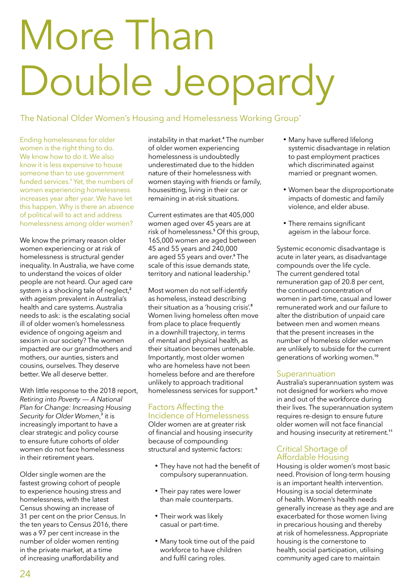# <span id="page-2-0"></span>More Than Double Jeopardy

The National Older Women's Housing and Homelessness Working Group<sup>\*</sup>

Ending homelessness for older women is the right thing to do. We know how to do it. We also know it is less expensive to house someone than to use government funded services.**<sup>1</sup>** Yet, the numbers of women experiencing homelessness increases year after year. We have let this happen. Why is there an absence of political will to act and address homelessness among older women?

We know the primary reason older women experiencing or at risk of homelessness is structural gender inequality. In Australia, we have come to understand the voices of older people are not heard. Our aged care system is a shocking tale of neglect,**<sup>2</sup>** with ageism prevalent in Australia's health and care systems. Australia needs to ask: is the escalating social ill of older women's homelessness evidence of ongoing ageism and sexism in our society? The women impacted are our grandmothers and mothers, our aunties, sisters and cousins, ourselves. They deserve better. We all deserve better.

With little response to the 2018 report, *Retiring into Poverty* — *A National Plan for Change: Increasing Housing*  Security for Older Women,<sup>3</sup> it is increasingly important to have a clear strategic and policy course to ensure future cohorts of older women do not face homelessness in their retirement years.

Older single women are the fastest growing cohort of people to experience housing stress and homelessness, with the latest Census showing an increase of 31 per cent on the prior Census. In the ten years to Census 2016, there was a 97 per cent increase in the number of older women renting in the private market, at a time of increasing unaffordability and

instability in that market.**<sup>4</sup>** The number of older women experiencing homelessness is undoubtedly underestimated due to the hidden nature of their homelessness with women staying with friends or family, housesitting, living in their car or remaining in at-risk situations.

Current estimates are that 405,000 women aged over 45 years are at risk of homelessness.**<sup>5</sup>** Of this group, 165,000 women are aged between 45 and 55 years and 240,000 are aged 55 years and over.**<sup>6</sup>** The scale of this issue demands state, territory and national leadership.**<sup>7</sup>**

Most women do not self-identify as homeless, instead describing their situation as a 'housing crisis'.**<sup>8</sup>** Women living homeless often move from place to place frequently in a downhill trajectory, in terms of mental and physical health, as their situation becomes untenable. Importantly, most older women who are homeless have not been homeless before and are therefore unlikely to approach traditional homelessness services for support.**<sup>9</sup>**

## Factors Affecting the Incidence of Homelessness

Older women are at greater risk of financial and housing insecurity because of compounding structural and systemic factors:

- They have not had the benefit of compulsory superannuation.
- Their pay rates were lower than male counterparts.
- Their work was likely casual or part-time.
- Many took time out of the paid workforce to have children and fulfil caring roles.
- Many have suffered lifelong systemic disadvantage in relation to past employment practices which discriminated against married or pregnant women.
- Women bear the disproportionate impacts of domestic and family violence, and elder abuse.
- There remains significant ageism in the labour force.

Systemic economic disadvantage is acute in later years, as disadvantage compounds over the life cycle. The current gendered total remuneration gap of 20.8 per cent, the continued concentration of women in part-time, casual and lower remunerated work and our failure to alter the distribution of unpaid care between men and women means that the present increases in the number of homeless older women are unlikely to subside for the current generations of working women.**<sup>10</sup>**

## **Superannuation**

Australia's superannuation system was not designed for workers who move in and out of the workforce during their lives. The superannuation system requires re-design to ensure future older women will not face financial and housing insecurity at retirement.**<sup>11</sup>**

## Critical Shortage of Affordable Housing

Housing is older women's most basic need. Provision of long-term housing is an important health intervention. Housing is a social determinate of health. Women's health needs generally increase as they age and are exacerbated for those women living in precarious housing and thereby at risk of homelessness. Appropriate housing is the cornerstone to health, social participation, utilising community aged care to maintain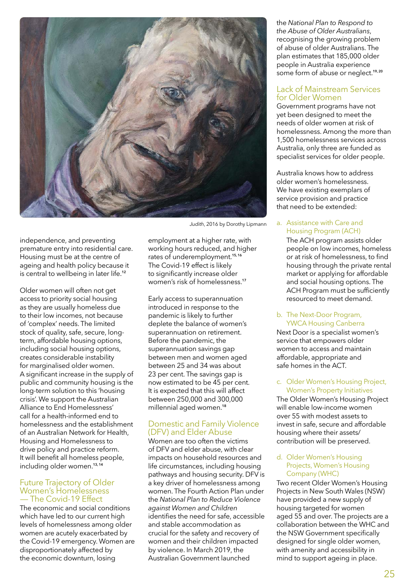

independence, and preventing premature entry into residential care. Housing must be at the centre of ageing and health policy because it is central to wellbeing in later life.**<sup>12</sup>**

Older women will often not get access to priority social housing as they are usually homeless due to their low incomes, not because of 'complex' needs. The limited stock of quality, safe, secure, longterm, affordable housing options, including social housing options, creates considerable instability for marginalised older women. A significant increase in the supply of public and community housing is the long-term solution to this 'housing crisis'. We support the Australian Alliance to End Homelessness' call for a health-informed end to homelessness and the establishment of an Australian Network for Health, Housing and Homelessness to drive policy and practice reform. It will benefit all homeless people, including older women.**13, 14**

## Future Trajectory of Older - The Covid-19 Effect

The economic and social conditions which have led to our current high levels of homelessness among older women are acutely exacerbated by the Covid‑19 emergency. Women are disproportionately affected by the economic downturn, losing

*Judith*, 2016 by Dorothy Lipmann

employment at a higher rate, with working hours reduced, and higher rates of underemployment.**15, 16** The Covid-19 effect is likely to significantly increase older women's risk of homelessness.**<sup>17</sup>**

Early access to superannuation introduced in response to the pandemic is likely to further deplete the balance of women's superannuation on retirement. Before the pandemic, the superannuation savings gap between men and women aged between 25 and 34 was about 23 per cent. The savings gap is now estimated to be 45 per cent. It is expected that this will affect between 250,000 and 300,000 millennial aged women.**<sup>18</sup>**

## Domestic and Family Violence (DFV) and Elder Abuse

Women are too often the victims of DFV and elder abuse, with clear impacts on household resources and life circumstances, including housing pathways and housing security. DFV is a key driver of homelessness among women. The Fourth Action Plan under the *National Plan to Reduce Violence against Women and Children*  identifies the need for safe, accessible and stable accommodation as crucial for the safety and recovery of women and their children impacted by violence. In March 2019, the Australian Government launched

the *National Plan to Respond to the Abuse of Older Australians*, recognising the growing problem of abuse of older Australians. The plan estimates that 185,000 older people in Australia experience some form of abuse or neglect.**19, 20**

## Lack of Mainstream Services for Older Women

Government programs have not yet been designed to meet the needs of older women at risk of homelessness. Among the more than 1,500 homelessness services across Australia, only three are funded as specialist services for older people.

Australia knows how to address older women's homelessness. We have existing exemplars of service provision and practice that need to be extended:

## a. Assistance with Care and Housing Program (ACH)

The ACH program assists older people on low incomes, homeless or at risk of homelessness, to find housing through the private rental market or applying for affordable and social housing options. The ACH Program must be sufficiently resourced to meet demand.

### b. The Next-Door Program, YWCA Housing Canberra

Next Door is a specialist women's service that empowers older women to access and maintain affordable, appropriate and safe homes in the ACT.

## c. Older Women's Housing Project, Women's Property Initiatives

The Older Women's Housing Project will enable low-income women over 55 with modest assets to invest in safe, secure and affordable housing where their assets/ contribution will be preserved.

### d. Older Women's Housing Projects, Women's Housing Company (WHC)

Two recent Older Women's Housing Projects in New South Wales (NSW) have provided a new supply of housing targeted for women aged 55 and over. The projects are a collaboration between the WHC and the NSW Government specifically designed for single older women, with amenity and accessibility in mind to support ageing in place.